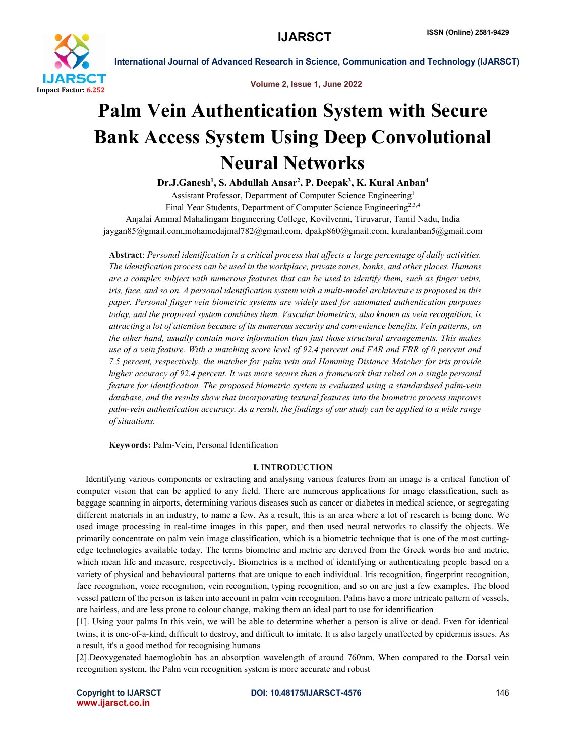

Volume 2, Issue 1, June 2022

# Palm Vein Authentication System with Secure Bank Access System Using Deep Convolutional Neural Networks

Dr.J.Ganesh<sup>1</sup>, S. Abdullah Ansar<sup>2</sup>, P. Deepak<sup>3</sup>, K. Kural Anban<sup>4</sup> Assistant Professor, Department of Computer Science Engineering1 Final Year Students, Department of Computer Science Engineering<sup>2,3,4</sup> Anjalai Ammal Mahalingam Engineering College, Kovilvenni, Tiruvarur, Tamil Nadu, India

jaygan85@gmail.com,mohamedajmal782@gmail.com, dpakp860@gmail.com, kuralanban5@gmail.com

Abstract: *Personal identification is a critical process that affects a large percentage of daily activities. The identification process can be used in the workplace, private zones, banks, and other places. Humans are a complex subject with numerous features that can be used to identify them, such as finger veins, iris, face, and so on. A personal identification system with a multi-model architecture is proposed in this paper. Personal finger vein biometric systems are widely used for automated authentication purposes today, and the proposed system combines them. Vascular biometrics, also known as vein recognition, is attracting a lot of attention because of its numerous security and convenience benefits. Vein patterns, on the other hand, usually contain more information than just those structural arrangements. This makes use of a vein feature. With a matching score level of 92.4 percent and FAR and FRR of 0 percent and 7.5 percent, respectively, the matcher for palm vein and Hamming Distance Matcher for iris provide higher accuracy of 92.4 percent. It was more secure than a framework that relied on a single personal feature for identification. The proposed biometric system is evaluated using a standardised palm-vein database, and the results show that incorporating textural features into the biometric process improves palm-vein authentication accuracy. As a result, the findings of our study can be applied to a wide range of situations.*

Keywords: Palm-Vein, Personal Identification

#### I. INTRODUCTION

 Identifying various components or extracting and analysing various features from an image is a critical function of computer vision that can be applied to any field. There are numerous applications for image classification, such as baggage scanning in airports, determining various diseases such as cancer or diabetes in medical science, or segregating different materials in an industry, to name a few. As a result, this is an area where a lot of research is being done. We used image processing in real-time images in this paper, and then used neural networks to classify the objects. We primarily concentrate on palm vein image classification, which is a biometric technique that is one of the most cuttingedge technologies available today. The terms biometric and metric are derived from the Greek words bio and metric, which mean life and measure, respectively. Biometrics is a method of identifying or authenticating people based on a variety of physical and behavioural patterns that are unique to each individual. Iris recognition, fingerprint recognition, face recognition, voice recognition, vein recognition, typing recognition, and so on are just a few examples. The blood vessel pattern of the person is taken into account in palm vein recognition. Palms have a more intricate pattern of vessels, are hairless, and are less prone to colour change, making them an ideal part to use for identification

[1]. Using your palms In this vein, we will be able to determine whether a person is alive or dead. Even for identical twins, it is one-of-a-kind, difficult to destroy, and difficult to imitate. It is also largely unaffected by epidermis issues. As a result, it's a good method for recognising humans

[2].Deoxygenated haemoglobin has an absorption wavelength of around 760nm. When compared to the Dorsal vein recognition system, the Palm vein recognition system is more accurate and robust

www.ijarsct.co.in

Copyright to IJARSCT **DOI: 10.48175/IJARSCT-4576** 146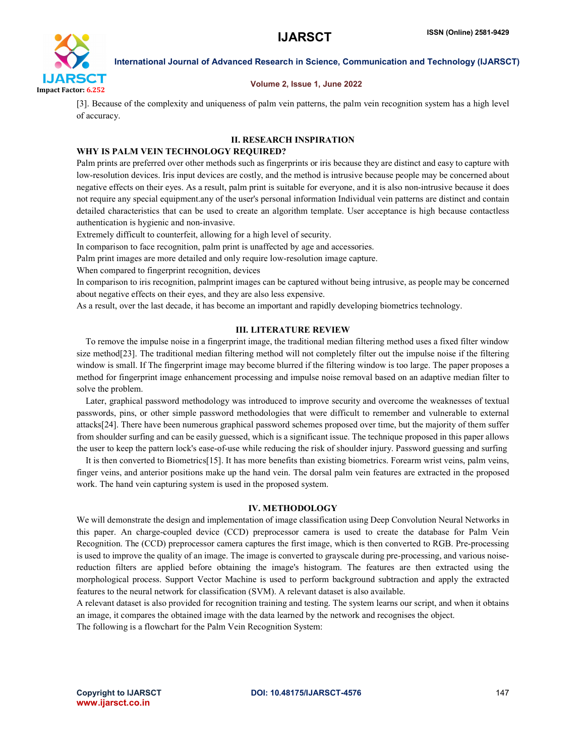

#### Volume 2, Issue 1, June 2022

[3]. Because of the complexity and uniqueness of palm vein patterns, the palm vein recognition system has a high level of accuracy.

#### II. RESEARCH INSPIRATION

#### WHY IS PALM VEIN TECHNOLOGY REQUIRED?

Palm prints are preferred over other methods such as fingerprints or iris because they are distinct and easy to capture with low-resolution devices. Iris input devices are costly, and the method is intrusive because people may be concerned about negative effects on their eyes. As a result, palm print is suitable for everyone, and it is also non-intrusive because it does not require any special equipment.any of the user's personal information Individual vein patterns are distinct and contain detailed characteristics that can be used to create an algorithm template. User acceptance is high because contactless authentication is hygienic and non-invasive.

Extremely difficult to counterfeit, allowing for a high level of security.

In comparison to face recognition, palm print is unaffected by age and accessories.

Palm print images are more detailed and only require low-resolution image capture.

When compared to fingerprint recognition, devices

In comparison to iris recognition, palmprint images can be captured without being intrusive, as people may be concerned about negative effects on their eyes, and they are also less expensive.

As a result, over the last decade, it has become an important and rapidly developing biometrics technology.

#### III. LITERATURE REVIEW

 To remove the impulse noise in a fingerprint image, the traditional median filtering method uses a fixed filter window size method[23]. The traditional median filtering method will not completely filter out the impulse noise if the filtering window is small. If The fingerprint image may become blurred if the filtering window is too large. The paper proposes a method for fingerprint image enhancement processing and impulse noise removal based on an adaptive median filter to solve the problem.

 Later, graphical password methodology was introduced to improve security and overcome the weaknesses of textual passwords, pins, or other simple password methodologies that were difficult to remember and vulnerable to external attacks[24]. There have been numerous graphical password schemes proposed over time, but the majority of them suffer from shoulder surfing and can be easily guessed, which is a significant issue. The technique proposed in this paper allows the user to keep the pattern lock's ease-of-use while reducing the risk of shoulder injury. Password guessing and surfing

 It is then converted to Biometrics[15]. It has more benefits than existing biometrics. Forearm wrist veins, palm veins, finger veins, and anterior positions make up the hand vein. The dorsal palm vein features are extracted in the proposed work. The hand vein capturing system is used in the proposed system.

#### IV. METHODOLOGY

We will demonstrate the design and implementation of image classification using Deep Convolution Neural Networks in this paper. An charge-coupled device (CCD) preprocessor camera is used to create the database for Palm Vein Recognition. The (CCD) preprocessor camera captures the first image, which is then converted to RGB. Pre-processing is used to improve the quality of an image. The image is converted to grayscale during pre-processing, and various noisereduction filters are applied before obtaining the image's histogram. The features are then extracted using the morphological process. Support Vector Machine is used to perform background subtraction and apply the extracted features to the neural network for classification (SVM). A relevant dataset is also available.

A relevant dataset is also provided for recognition training and testing. The system learns our script, and when it obtains an image, it compares the obtained image with the data learned by the network and recognises the object. The following is a flowchart for the Palm Vein Recognition System: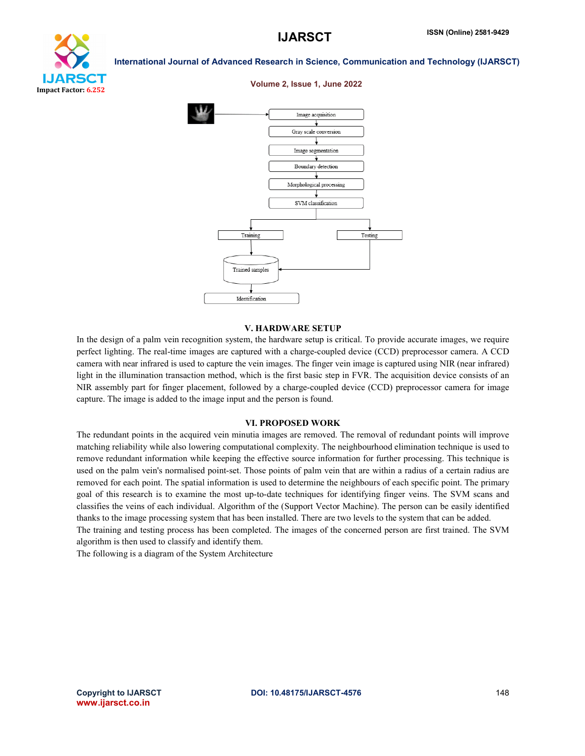# et i Impact Factor: 6.252

International Journal of Advanced Research in Science, Communication and Technology (IJARSCT)



#### Volume 2, Issue 1, June 2022

#### V. HARDWARE SETUP

In the design of a palm vein recognition system, the hardware setup is critical. To provide accurate images, we require perfect lighting. The real-time images are captured with a charge-coupled device (CCD) preprocessor camera. A CCD camera with near infrared is used to capture the vein images. The finger vein image is captured using NIR (near infrared) light in the illumination transaction method, which is the first basic step in FVR. The acquisition device consists of an NIR assembly part for finger placement, followed by a charge-coupled device (CCD) preprocessor camera for image capture. The image is added to the image input and the person is found.

#### VI. PROPOSED WORK

The redundant points in the acquired vein minutia images are removed. The removal of redundant points will improve matching reliability while also lowering computational complexity. The neighbourhood elimination technique is used to remove redundant information while keeping the effective source information for further processing. This technique is used on the palm vein's normalised point-set. Those points of palm vein that are within a radius of a certain radius are removed for each point. The spatial information is used to determine the neighbours of each specific point. The primary goal of this research is to examine the most up-to-date techniques for identifying finger veins. The SVM scans and classifies the veins of each individual. Algorithm of the (Support Vector Machine). The person can be easily identified thanks to the image processing system that has been installed. There are two levels to the system that can be added. The training and testing process has been completed. The images of the concerned person are first trained. The SVM algorithm is then used to classify and identify them.

The following is a diagram of the System Architecture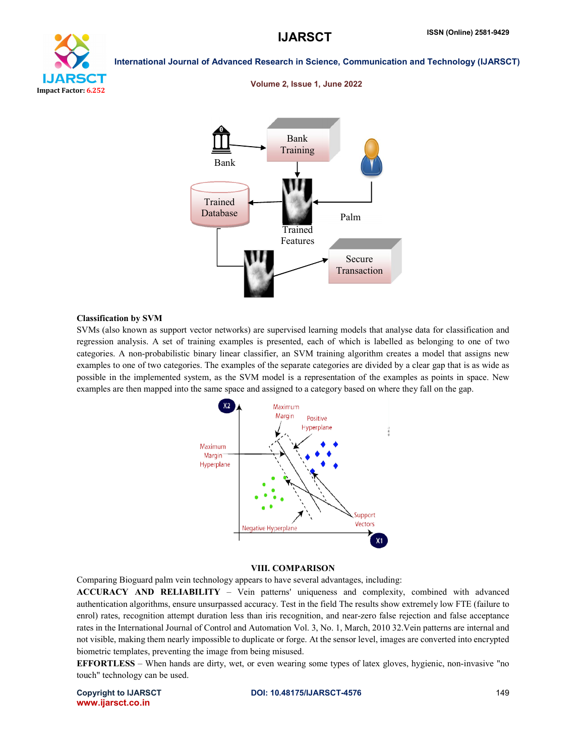

#### Volume 2, Issue 1, June 2022



#### Classification by SVM

SVMs (also known as support vector networks) are supervised learning models that analyse data for classification and regression analysis. A set of training examples is presented, each of which is labelled as belonging to one of two categories. A non-probabilistic binary linear classifier, an SVM training algorithm creates a model that assigns new examples to one of two categories. The examples of the separate categories are divided by a clear gap that is as wide as possible in the implemented system, as the SVM model is a representation of the examples as points in space. New examples are then mapped into the same space and assigned to a category based on where they fall on the gap.



#### VIII. COMPARISON

Comparing Bioguard palm vein technology appears to have several advantages, including:

ACCURACY AND RELIABILITY – Vein patterns' uniqueness and complexity, combined with advanced authentication algorithms, ensure unsurpassed accuracy. Test in the field The results show extremely low FTE (failure to enrol) rates, recognition attempt duration less than iris recognition, and near-zero false rejection and false acceptance rates in the International Journal of Control and Automation Vol. 3, No. 1, March, 2010 32.Vein patterns are internal and not visible, making them nearly impossible to duplicate or forge. At the sensor level, images are converted into encrypted biometric templates, preventing the image from being misused.

EFFORTLESS – When hands are dirty, wet, or even wearing some types of latex gloves, hygienic, non-invasive "no touch" technology can be used.

www.ijarsct.co.in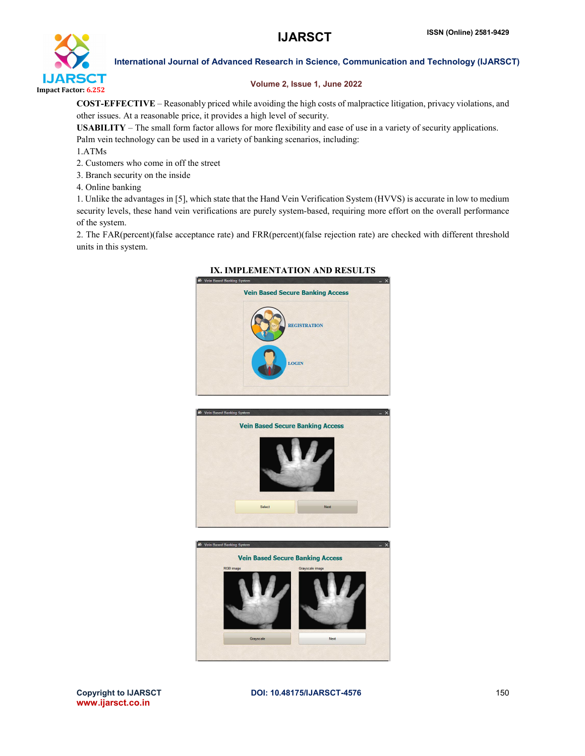

#### Volume 2, Issue 1, June 2022

COST-EFFECTIVE – Reasonably priced while avoiding the high costs of malpractice litigation, privacy violations, and other issues. At a reasonable price, it provides a high level of security.

USABILITY – The small form factor allows for more flexibility and ease of use in a variety of security applications.

Palm vein technology can be used in a variety of banking scenarios, including:

1.ATMs

2. Customers who come in off the street

- 3. Branch security on the inside
- 4. Online banking

1. Unlike the advantages in [5], which state that the Hand Vein Verification System (HVVS) is accurate in low to medium security levels, these hand vein verifications are purely system-based, requiring more effort on the overall performance of the system.

2. The FAR(percent)(false acceptance rate) and FRR(percent)(false rejection rate) are checked with different threshold units in this system.



# **B** Vein Based Banking System **Vein Based Secure Banking Access**



www.ijarsct.co.in

Copyright to IJARSCT **DOI: 10.48175/IJARSCT-4576** 150

## IX. IMPLEMENTATION AND RESULTS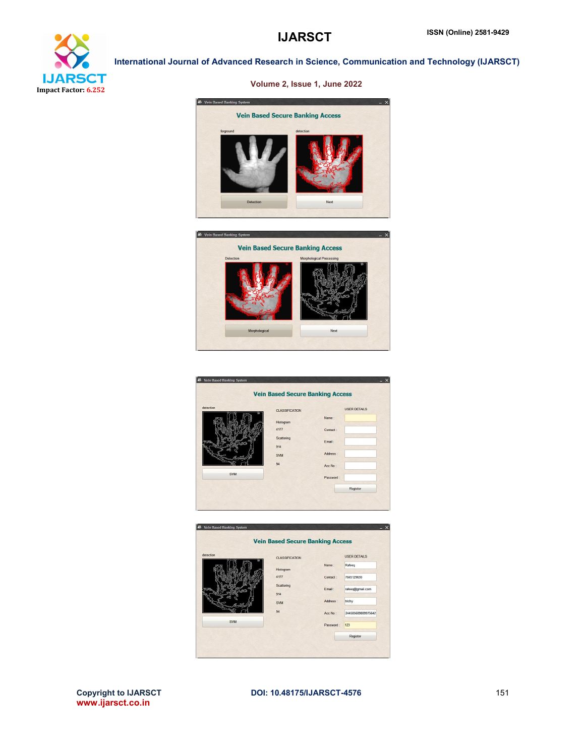

### Volume 2, Issue 1, June 2022





| $\mathbf{a}$<br>Vein Based Banking System | <b>Vein Based Secure Banking Access</b>                                             |                                                                 | $\times$            |
|-------------------------------------------|-------------------------------------------------------------------------------------|-----------------------------------------------------------------|---------------------|
| detection<br>SVM                          | <b>CLASSIFICATION</b><br>Histogram<br>4177<br>Scattering<br>914<br><b>SVM</b><br>94 | Name:<br>Contact:<br>Email:<br>Address:<br>Acc No:<br>Password: | <b>USER DETAILS</b> |
|                                           |                                                                                     |                                                                 | Register            |



www.ijarsct.co.in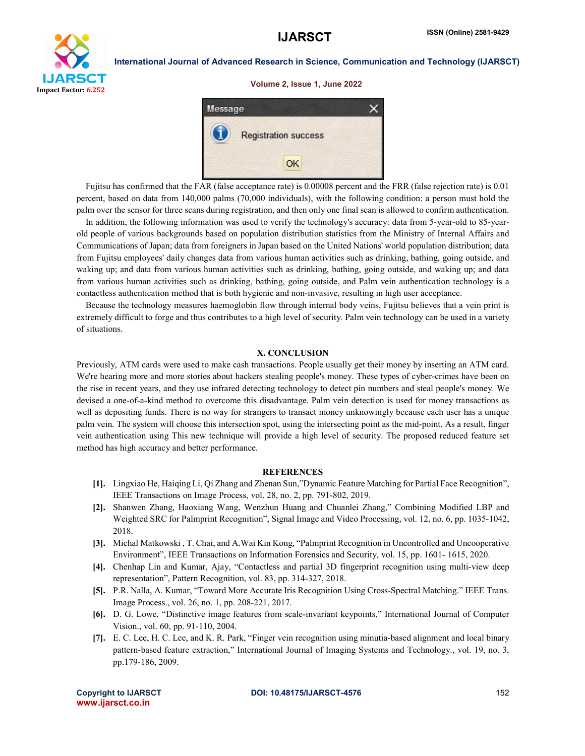



 Fujitsu has confirmed that the FAR (false acceptance rate) is 0.00008 percent and the FRR (false rejection rate) is 0.01 percent, based on data from 140,000 palms (70,000 individuals), with the following condition: a person must hold the palm over the sensor for three scans during registration, and then only one final scan is allowed to confirm authentication.

 In addition, the following information was used to verify the technology's accuracy: data from 5-year-old to 85-yearold people of various backgrounds based on population distribution statistics from the Ministry of Internal Affairs and Communications of Japan; data from foreigners in Japan based on the United Nations' world population distribution; data from Fujitsu employees' daily changes data from various human activities such as drinking, bathing, going outside, and waking up; and data from various human activities such as drinking, bathing, going outside, and waking up; and data from various human activities such as drinking, bathing, going outside, and Palm vein authentication technology is a contactless authentication method that is both hygienic and non-invasive, resulting in high user acceptance.

 Because the technology measures haemoglobin flow through internal body veins, Fujitsu believes that a vein print is extremely difficult to forge and thus contributes to a high level of security. Palm vein technology can be used in a variety of situations.

#### X. CONCLUSION

Previously, ATM cards were used to make cash transactions. People usually get their money by inserting an ATM card. We're hearing more and more stories about hackers stealing people's money. These types of cyber-crimes have been on the rise in recent years, and they use infrared detecting technology to detect pin numbers and steal people's money. We devised a one-of-a-kind method to overcome this disadvantage. Palm vein detection is used for money transactions as well as depositing funds. There is no way for strangers to transact money unknowingly because each user has a unique palm vein. The system will choose this intersection spot, using the intersecting point as the mid-point. As a result, finger vein authentication using This new technique will provide a high level of security. The proposed reduced feature set method has high accuracy and better performance.

#### **REFERENCES**

- [1]. Lingxiao He, Haiqing Li, Qi Zhang and Zhenan Sun,"Dynamic Feature Matching for Partial Face Recognition", IEEE Transactions on Image Process, vol. 28, no. 2, pp. 791-802, 2019.
- [2]. Shanwen Zhang, Haoxiang Wang, Wenzhun Huang and Chuanlei Zhang," Combining Modified LBP and Weighted SRC for Palmprint Recognition", Signal Image and Video Processing, vol. 12, no. 6, pp. 1035-1042, 2018.
- [3]. Michal Matkowski , T. Chai, and A.Wai Kin Kong, "Palmprint Recognition in Uncontrolled and Uncooperative Environment", IEEE Transactions on Information Forensics and Security, vol. 15, pp. 1601- 1615, 2020.
- [4]. Chenhap Lin and Kumar, Ajay, "Contactless and partial 3D fingerprint recognition using multi-view deep representation", Pattern Recognition, vol. 83, pp. 314-327, 2018.
- [5]. P.R. Nalla, A. Kumar, "Toward More Accurate Iris Recognition Using Cross-Spectral Matching." IEEE Trans. Image Process., vol. 26, no. 1, pp. 208-221, 2017.
- [6]. D. G. Lowe, "Distinctive image features from scale-invariant keypoints," International Journal of Computer Vision., vol. 60, pp. 91-110, 2004.
- [7]. E. C. Lee, H. C. Lee, and K. R. Park, "Finger vein recognition using minutia-based alignment and local binary pattern-based feature extraction," International Journal of Imaging Systems and Technology., vol. 19, no. 3, pp.179-186, 2009.

#### Volume 2, Issue 1, June 2022